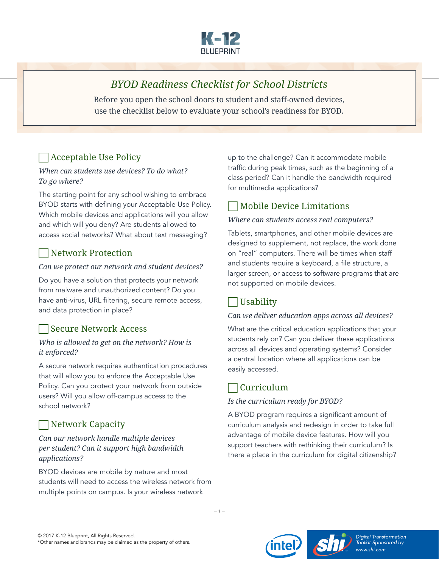

# *BYOD Readiness Checklist for School Districts*

Before you open the school doors to student and staff-owned devices, use the checklist below to evaluate your school's readiness for BYOD.

# Acceptable Use Policy

#### *When can students use devices? To do what? To go where?*

The starting point for any school wishing to embrace BYOD starts with defining your Acceptable Use Policy. Which mobile devices and applications will you allow and which will you deny? Are students allowed to access social networks? What about text messaging?

### Network Protection

#### *Can we protect our network and student devices?*

Do you have a solution that protects your network from malware and unauthorized content? Do you have anti-virus, URL filtering, secure remote access, and data protection in place?

### Secure Network Access

#### *Who is allowed to get on the network? How is it enforced?*

A secure network requires authentication procedures that will allow you to enforce the Acceptable Use Policy. Can you protect your network from outside users? Will you allow off-campus access to the school network?

## Network Capacity

### *Can our network handle multiple devices per student? Can it support high bandwidth applications?*

BYOD devices are mobile by nature and most students will need to access the wireless network from multiple points on campus. Is your wireless network

up to the challenge? Can it accommodate mobile traffic during peak times, such as the beginning of a class period? Can it handle the bandwidth required for multimedia applications?

## Mobile Device Limitations

### *Where can students access real computers?*

Tablets, smartphones, and other mobile devices are designed to supplement, not replace, the work done on "real" computers. There will be times when staff and students require a keyboard, a file structure, a larger screen, or access to software programs that are not supported on mobile devices.

### Usability

### *Can we deliver education apps across all devices?*

What are the critical education applications that your students rely on? Can you deliver these applications across all devices and operating systems? Consider a central location where all applications can be easily accessed.

### $\Box$  Curriculum

### *Is the curriculum ready for BYOD?*

A BYOD program requires a significant amount of curriculum analysis and redesign in order to take full advantage of mobile device features. How will you support teachers with rethinking their curriculum? Is there a place in the curriculum for digital citizenship?